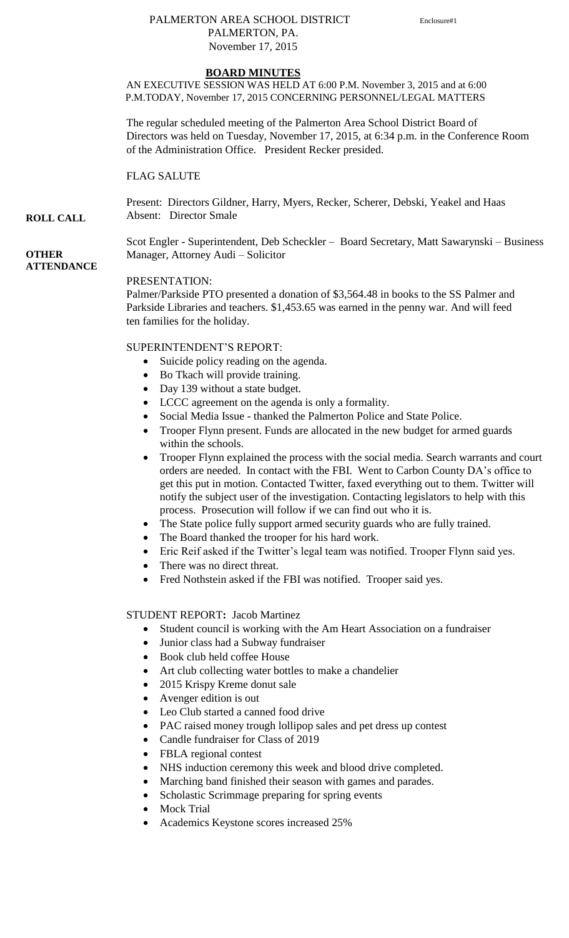## PALMERTON AREA SCHOOL DISTRICT Enclosure#1 PALMERTON, PA. November 17, 2015

# **BOARD MINUTES**

AN EXECUTIVE SESSION WAS HELD AT 6:00 P.M. November 3, 2015 and at 6:00 P.M.TODAY, November 17, 2015 CONCERNING PERSONNEL/LEGAL MATTERS

The regular scheduled meeting of the Palmerton Area School District Board of Directors was held on Tuesday, November 17, 2015, at 6:34 p.m. in the Conference Room of the Administration Office. President Recker presided.

FLAG SALUTE

**ROLL CALL** Present: Directors Gildner, Harry, Myers, Recker, Scherer, Debski, Yeakel and Haas Absent: Director Smale

> Scot Engler - Superintendent, Deb Scheckler – Board Secretary, Matt Sawarynski – Business Manager, Attorney Audi – Solicitor

### **OTHER ATTENDANCE**

PRESENTATION:

Palmer/Parkside PTO presented a donation of \$3,564.48 in books to the SS Palmer and Parkside Libraries and teachers. \$1,453.65 was earned in the penny war. And will feed ten families for the holiday.

SUPERINTENDENT'S REPORT:

- Suicide policy reading on the agenda.
- Bo Tkach will provide training.
- Day 139 without a state budget.
- LCCC agreement on the agenda is only a formality.
- Social Media Issue thanked the Palmerton Police and State Police.
- Trooper Flynn present. Funds are allocated in the new budget for armed guards within the schools.
- Trooper Flynn explained the process with the social media. Search warrants and court orders are needed. In contact with the FBI. Went to Carbon County DA's office to get this put in motion. Contacted Twitter, faxed everything out to them. Twitter will notify the subject user of the investigation. Contacting legislators to help with this process. Prosecution will follow if we can find out who it is.
- The State police fully support armed security guards who are fully trained.
- The Board thanked the trooper for his hard work.
- Eric Reif asked if the Twitter's legal team was notified. Trooper Flynn said yes.
- There was no direct threat.
- Fred Nothstein asked if the FBI was notified. Trooper said yes.

#### STUDENT REPORT**:** Jacob Martinez

- Student council is working with the Am Heart Association on a fundraiser
- Junior class had a Subway fundraiser
- Book club held coffee House
- Art club collecting water bottles to make a chandelier
- 2015 Krispy Kreme donut sale
- Avenger edition is out
- Leo Club started a canned food drive
- PAC raised money trough lollipop sales and pet dress up contest
- Candle fundraiser for Class of 2019
- FBLA regional contest
- NHS induction ceremony this week and blood drive completed.
- Marching band finished their season with games and parades.
- Scholastic Scrimmage preparing for spring events
- Mock Trial
- Academics Keystone scores increased 25%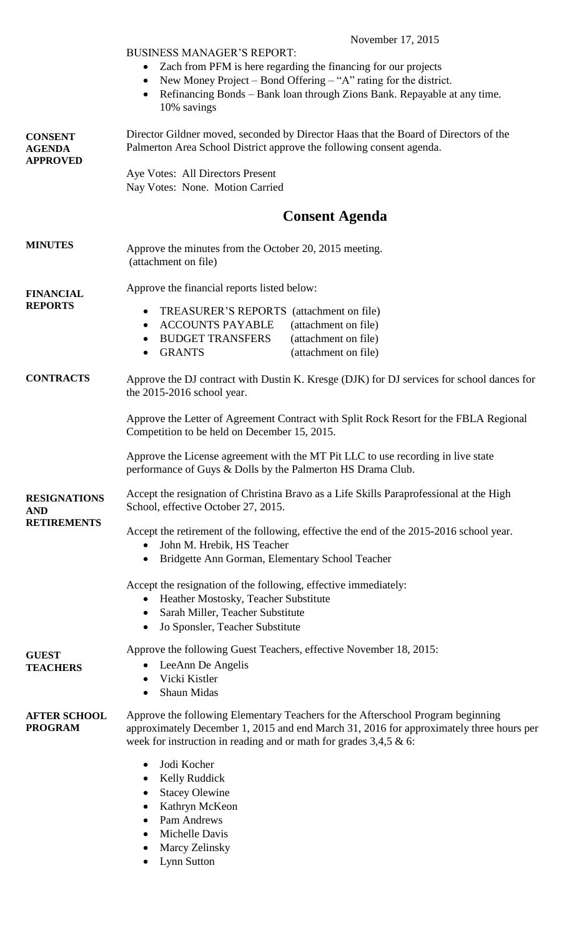|                                                         | November 17, 2015                                                                                                                                                                                                                                   |  |  |
|---------------------------------------------------------|-----------------------------------------------------------------------------------------------------------------------------------------------------------------------------------------------------------------------------------------------------|--|--|
|                                                         | <b>BUSINESS MANAGER'S REPORT:</b>                                                                                                                                                                                                                   |  |  |
|                                                         | Zach from PFM is here regarding the financing for our projects<br>$\bullet$                                                                                                                                                                         |  |  |
|                                                         | New Money Project – Bond Offering – "A" rating for the district.<br>$\bullet$<br>Refinancing Bonds – Bank loan through Zions Bank. Repayable at any time.<br>$\bullet$<br>10% savings                                                               |  |  |
| <b>CONSENT</b><br><b>AGENDA</b><br><b>APPROVED</b>      | Director Gildner moved, seconded by Director Haas that the Board of Directors of the<br>Palmerton Area School District approve the following consent agenda.                                                                                        |  |  |
|                                                         | Aye Votes: All Directors Present<br>Nay Votes: None. Motion Carried                                                                                                                                                                                 |  |  |
|                                                         | <b>Consent Agenda</b>                                                                                                                                                                                                                               |  |  |
| <b>MINUTES</b>                                          | Approve the minutes from the October 20, 2015 meeting.<br>(attachment on file)                                                                                                                                                                      |  |  |
| <b>FINANCIAL</b><br><b>REPORTS</b>                      | Approve the financial reports listed below:                                                                                                                                                                                                         |  |  |
|                                                         | TREASURER'S REPORTS (attachment on file)<br>٠                                                                                                                                                                                                       |  |  |
|                                                         | <b>ACCOUNTS PAYABLE</b><br>(attachment on file)<br>$\bullet$                                                                                                                                                                                        |  |  |
|                                                         | <b>BUDGET TRANSFERS</b><br>(attachment on file)<br>٠<br><b>GRANTS</b><br>(attachment on file)<br>٠                                                                                                                                                  |  |  |
| <b>CONTRACTS</b>                                        | Approve the DJ contract with Dustin K. Kresge (DJK) for DJ services for school dances for<br>the 2015-2016 school year.                                                                                                                             |  |  |
|                                                         | Approve the Letter of Agreement Contract with Split Rock Resort for the FBLA Regional<br>Competition to be held on December 15, 2015.                                                                                                               |  |  |
|                                                         | Approve the License agreement with the MT Pit LLC to use recording in live state<br>performance of Guys & Dolls by the Palmerton HS Drama Club.                                                                                                     |  |  |
| <b>RESIGNATIONS</b><br><b>AND</b><br><b>RETIREMENTS</b> | Accept the resignation of Christina Bravo as a Life Skills Paraprofessional at the High<br>School, effective October 27, 2015.                                                                                                                      |  |  |
|                                                         | Accept the retirement of the following, effective the end of the 2015-2016 school year.<br>John M. Hrebik, HS Teacher                                                                                                                               |  |  |
|                                                         | Bridgette Ann Gorman, Elementary School Teacher<br>$\bullet$                                                                                                                                                                                        |  |  |
|                                                         | Accept the resignation of the following, effective immediately:<br>Heather Mostosky, Teacher Substitute<br>$\bullet$<br>Sarah Miller, Teacher Substitute<br>$\bullet$                                                                               |  |  |
|                                                         | Jo Sponsler, Teacher Substitute<br>$\bullet$                                                                                                                                                                                                        |  |  |
| <b>GUEST</b>                                            | Approve the following Guest Teachers, effective November 18, 2015:                                                                                                                                                                                  |  |  |
| <b>TEACHERS</b>                                         | LeeAnn De Angelis<br>$\bullet$<br>Vicki Kistler                                                                                                                                                                                                     |  |  |
|                                                         | $\bullet$<br>Shaun Midas<br>٠                                                                                                                                                                                                                       |  |  |
| <b>AFTER SCHOOL</b><br><b>PROGRAM</b>                   | Approve the following Elementary Teachers for the Afterschool Program beginning<br>approximately December 1, 2015 and end March 31, 2016 for approximately three hours per<br>week for instruction in reading and or math for grades $3,4,5 \& 6$ : |  |  |
|                                                         | Jodi Kocher<br>$\bullet$                                                                                                                                                                                                                            |  |  |
|                                                         | <b>Kelly Ruddick</b><br>$\bullet$                                                                                                                                                                                                                   |  |  |
|                                                         | <b>Stacey Olewine</b><br>Kathryn McKeon                                                                                                                                                                                                             |  |  |
|                                                         | Pam Andrews<br>$\bullet$                                                                                                                                                                                                                            |  |  |
|                                                         | Michelle Davis<br>$\bullet$                                                                                                                                                                                                                         |  |  |
|                                                         | Marcy Zelinsky<br>Lynn Sutton                                                                                                                                                                                                                       |  |  |
|                                                         |                                                                                                                                                                                                                                                     |  |  |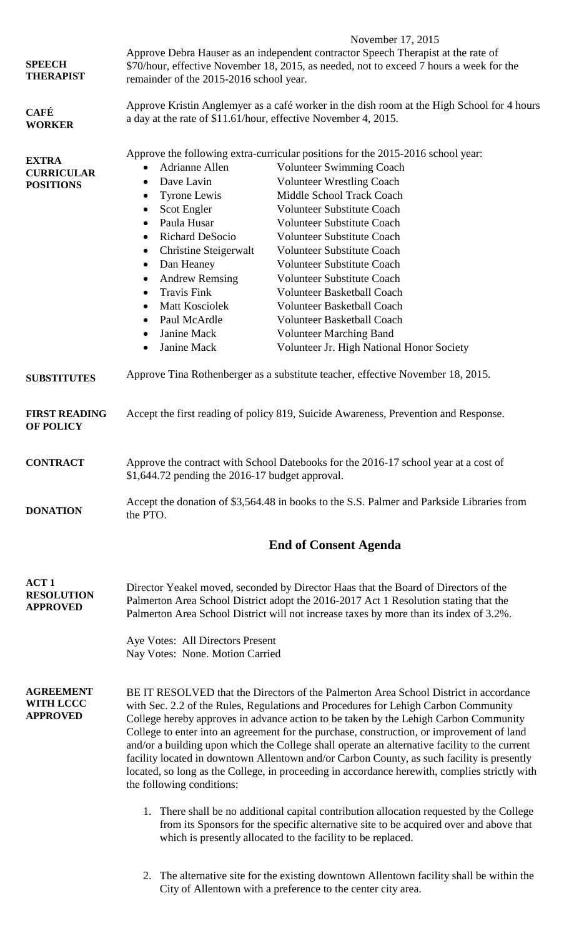| <b>SPEECH</b><br><b>THERAPIST</b>                        | November 17, 2015<br>Approve Debra Hauser as an independent contractor Speech Therapist at the rate of<br>\$70/hour, effective November 18, 2015, as needed, not to exceed 7 hours a week for the<br>remainder of the 2015-2016 school year.                                                                                                                                                                                                                                                                                                                                                                                                                                                                                                                                                                                                                                                                                                                                                                    |                                           |  |
|----------------------------------------------------------|-----------------------------------------------------------------------------------------------------------------------------------------------------------------------------------------------------------------------------------------------------------------------------------------------------------------------------------------------------------------------------------------------------------------------------------------------------------------------------------------------------------------------------------------------------------------------------------------------------------------------------------------------------------------------------------------------------------------------------------------------------------------------------------------------------------------------------------------------------------------------------------------------------------------------------------------------------------------------------------------------------------------|-------------------------------------------|--|
| <b>CAFÉ</b><br><b>WORKER</b>                             | Approve Kristin Anglemyer as a café worker in the dish room at the High School for 4 hours<br>a day at the rate of \$11.61/hour, effective November 4, 2015.                                                                                                                                                                                                                                                                                                                                                                                                                                                                                                                                                                                                                                                                                                                                                                                                                                                    |                                           |  |
| <b>EXTRA</b><br><b>CURRICULAR</b><br><b>POSITIONS</b>    | Approve the following extra-curricular positions for the 2015-2016 school year:<br>Adrianne Allen<br><b>Volunteer Swimming Coach</b><br>$\bullet$<br><b>Volunteer Wrestling Coach</b><br>Dave Lavin<br>$\bullet$<br>Tyrone Lewis<br>Middle School Track Coach<br>$\bullet$<br><b>Volunteer Substitute Coach</b><br>Scot Engler<br>$\bullet$<br>Paula Husar<br><b>Volunteer Substitute Coach</b><br>$\bullet$<br><b>Richard DeSocio</b><br><b>Volunteer Substitute Coach</b><br>$\bullet$<br>Christine Steigerwalt<br><b>Volunteer Substitute Coach</b><br>$\bullet$<br>Dan Heaney<br>Volunteer Substitute Coach<br>$\bullet$<br><b>Andrew Remsing</b><br><b>Volunteer Substitute Coach</b><br>$\bullet$<br><b>Travis Fink</b><br><b>Volunteer Basketball Coach</b><br>$\bullet$<br>Matt Kosciolek<br><b>Volunteer Basketball Coach</b><br>$\bullet$<br>Paul McArdle<br><b>Volunteer Basketball Coach</b><br>$\bullet$<br>Janine Mack<br><b>Volunteer Marching Band</b><br>$\bullet$<br>Janine Mack<br>$\bullet$ | Volunteer Jr. High National Honor Society |  |
| <b>SUBSTITUTES</b>                                       | Approve Tina Rothenberger as a substitute teacher, effective November 18, 2015.                                                                                                                                                                                                                                                                                                                                                                                                                                                                                                                                                                                                                                                                                                                                                                                                                                                                                                                                 |                                           |  |
| <b>FIRST READING</b><br><b>OF POLICY</b>                 | Accept the first reading of policy 819, Suicide Awareness, Prevention and Response.                                                                                                                                                                                                                                                                                                                                                                                                                                                                                                                                                                                                                                                                                                                                                                                                                                                                                                                             |                                           |  |
| <b>CONTRACT</b>                                          | Approve the contract with School Datebooks for the 2016-17 school year at a cost of<br>$$1,644.72$ pending the 2016-17 budget approval.                                                                                                                                                                                                                                                                                                                                                                                                                                                                                                                                                                                                                                                                                                                                                                                                                                                                         |                                           |  |
| <b>DONATION</b>                                          | Accept the donation of \$3,564.48 in books to the S.S. Palmer and Parkside Libraries from<br>the PTO.                                                                                                                                                                                                                                                                                                                                                                                                                                                                                                                                                                                                                                                                                                                                                                                                                                                                                                           |                                           |  |
|                                                          | <b>End of Consent Agenda</b>                                                                                                                                                                                                                                                                                                                                                                                                                                                                                                                                                                                                                                                                                                                                                                                                                                                                                                                                                                                    |                                           |  |
| ACT <sub>1</sub><br><b>RESOLUTION</b><br><b>APPROVED</b> | Director Yeakel moved, seconded by Director Haas that the Board of Directors of the<br>Palmerton Area School District adopt the 2016-2017 Act 1 Resolution stating that the<br>Palmerton Area School District will not increase taxes by more than its index of 3.2%.<br>Aye Votes: All Directors Present<br>Nay Votes: None. Motion Carried                                                                                                                                                                                                                                                                                                                                                                                                                                                                                                                                                                                                                                                                    |                                           |  |
| <b>AGREEMENT</b><br><b>WITH LCCC</b><br><b>APPROVED</b>  | BE IT RESOLVED that the Directors of the Palmerton Area School District in accordance<br>with Sec. 2.2 of the Rules, Regulations and Procedures for Lehigh Carbon Community<br>College hereby approves in advance action to be taken by the Lehigh Carbon Community<br>College to enter into an agreement for the purchase, construction, or improvement of land<br>and/or a building upon which the College shall operate an alternative facility to the current<br>facility located in downtown Allentown and/or Carbon County, as such facility is presently<br>located, so long as the College, in proceeding in accordance herewith, complies strictly with<br>the following conditions:                                                                                                                                                                                                                                                                                                                   |                                           |  |
|                                                          | 1. There shall be no additional capital contribution allocation requested by the College<br>from its Sponsors for the specific alternative site to be acquired over and above that<br>which is presently allocated to the facility to be replaced.                                                                                                                                                                                                                                                                                                                                                                                                                                                                                                                                                                                                                                                                                                                                                              |                                           |  |
|                                                          | The alternative site for the existing downtown Allentown facility shall be within the<br>2.                                                                                                                                                                                                                                                                                                                                                                                                                                                                                                                                                                                                                                                                                                                                                                                                                                                                                                                     |                                           |  |

City of Allentown with a preference to the center city area.